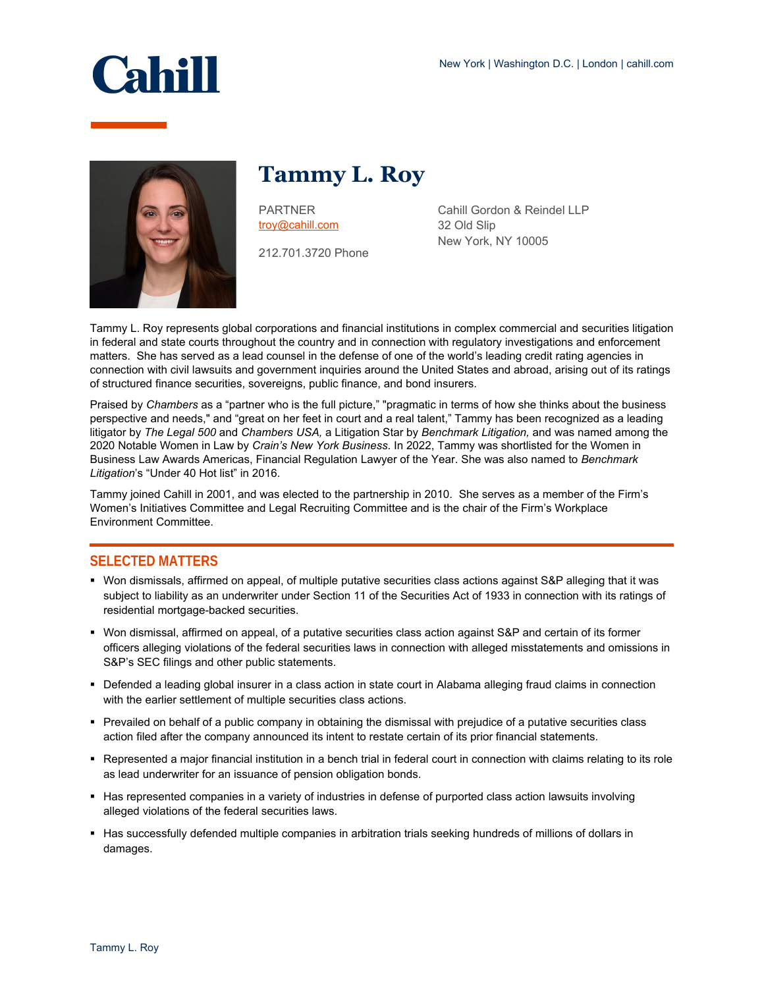



**Tammy L. Roy**

PARTNER [troy@cahill.com](mailto:troy@cahill.com)

212.701.3720 Phone

Cahill Gordon & Reindel LLP 32 Old Slip New York, NY 10005

Tammy L. Roy represents global corporations and financial institutions in complex commercial and securities litigation in federal and state courts throughout the country and in connection with regulatory investigations and enforcement matters. She has served as a lead counsel in the defense of one of the world's leading credit rating agencies in connection with civil lawsuits and government inquiries around the United States and abroad, arising out of its ratings of structured finance securities, sovereigns, public finance, and bond insurers.

Praised by *Chambers* as a "partner who is the full picture," "pragmatic in terms of how she thinks about the business perspective and needs," and "great on her feet in court and a real talent," Tammy has been recognized as a leading litigator by *The Legal 500* and *Chambers USA,* a Litigation Star by *Benchmark Litigation,* and was named among the 2020 Notable Women in Law by *Crain's New York Business*. In 2022, Tammy was shortlisted for the Women in Business Law Awards Americas, Financial Regulation Lawyer of the Year. She was also named to *Benchmark Litigation*'s "Under 40 Hot list" in 2016.

Tammy joined Cahill in 2001, and was elected to the partnership in 2010. She serves as a member of the Firm's Women's Initiatives Committee and Legal Recruiting Committee and is the chair of the Firm's Workplace Environment Committee.

## **SELECTED MATTERS**

- Won dismissals, affirmed on appeal, of multiple putative securities class actions against S&P alleging that it was subject to liability as an underwriter under Section 11 of the Securities Act of 1933 in connection with its ratings of residential mortgage-backed securities.
- Won dismissal, affirmed on appeal, of a putative securities class action against S&P and certain of its former officers alleging violations of the federal securities laws in connection with alleged misstatements and omissions in S&P's SEC filings and other public statements.
- Defended a leading global insurer in a class action in state court in Alabama alleging fraud claims in connection with the earlier settlement of multiple securities class actions.
- Prevailed on behalf of a public company in obtaining the dismissal with prejudice of a putative securities class action filed after the company announced its intent to restate certain of its prior financial statements.
- Represented a major financial institution in a bench trial in federal court in connection with claims relating to its role as lead underwriter for an issuance of pension obligation bonds.
- Has represented companies in a variety of industries in defense of purported class action lawsuits involving alleged violations of the federal securities laws.
- Has successfully defended multiple companies in arbitration trials seeking hundreds of millions of dollars in damages.